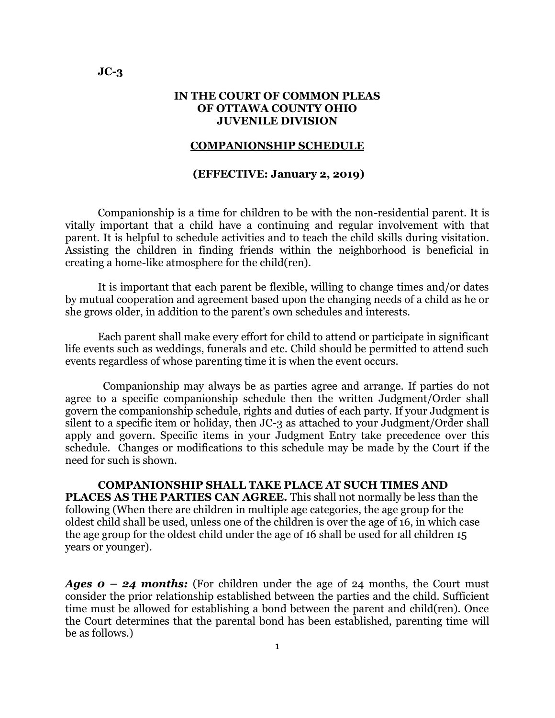## **IN THE COURT OF COMMON PLEAS OF OTTAWA COUNTY OHIO JUVENILE DIVISION**

#### **COMPANIONSHIP SCHEDULE**

### **(EFFECTIVE: January 2, 2019)**

Companionship is a time for children to be with the non-residential parent. It is vitally important that a child have a continuing and regular involvement with that parent. It is helpful to schedule activities and to teach the child skills during visitation. Assisting the children in finding friends within the neighborhood is beneficial in creating a home-like atmosphere for the child(ren).

It is important that each parent be flexible, willing to change times and/or dates by mutual cooperation and agreement based upon the changing needs of a child as he or she grows older, in addition to the parent's own schedules and interests.

Each parent shall make every effort for child to attend or participate in significant life events such as weddings, funerals and etc. Child should be permitted to attend such events regardless of whose parenting time it is when the event occurs.

 Companionship may always be as parties agree and arrange. If parties do not agree to a specific companionship schedule then the written Judgment/Order shall govern the companionship schedule, rights and duties of each party. If your Judgment is silent to a specific item or holiday, then JC-3 as attached to your Judgment/Order shall apply and govern. Specific items in your Judgment Entry take precedence over this schedule. Changes or modifications to this schedule may be made by the Court if the need for such is shown.

**COMPANIONSHIP SHALL TAKE PLACE AT SUCH TIMES AND PLACES AS THE PARTIES CAN AGREE.** This shall not normally be less than the following (When there are children in multiple age categories, the age group for the oldest child shall be used, unless one of the children is over the age of 16, in which case the age group for the oldest child under the age of 16 shall be used for all children 15 years or younger).

*Ages 0 – 24 months:* (For children under the age of 24 months, the Court must consider the prior relationship established between the parties and the child. Sufficient time must be allowed for establishing a bond between the parent and child(ren). Once the Court determines that the parental bond has been established, parenting time will be as follows.)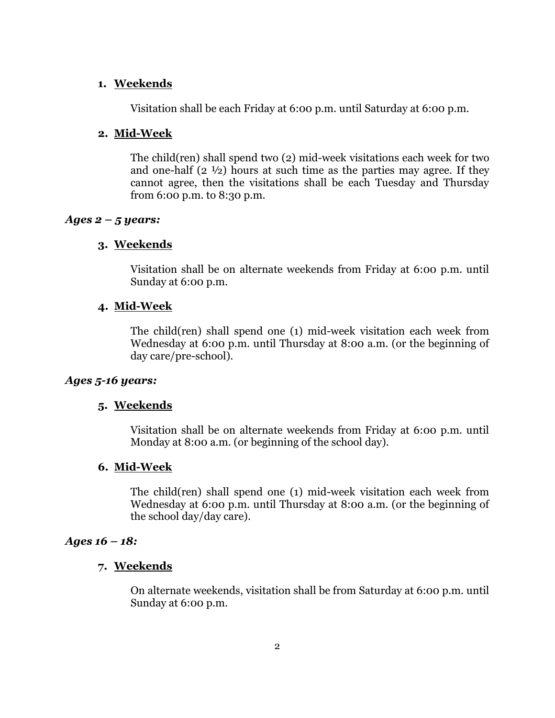## **1. Weekends**

Visitation shall be each Friday at 6:00 p.m. until Saturday at 6:00 p.m.

## **2. Mid-Week**

The child(ren) shall spend two (2) mid-week visitations each week for two and one-half  $(2 \frac{1}{2})$  hours at such time as the parties may agree. If they cannot agree, then the visitations shall be each Tuesday and Thursday from 6:00 p.m. to 8:30 p.m.

## *Ages 2 – 5 years:*

## **3. Weekends**

Visitation shall be on alternate weekends from Friday at 6:00 p.m. until Sunday at 6:00 p.m.

## **4. Mid-Week**

The child(ren) shall spend one (1) mid-week visitation each week from Wednesday at 6:00 p.m. until Thursday at 8:00 a.m. (or the beginning of day care/pre-school).

## *Ages 5-16 years:*

# **5. Weekends**

Visitation shall be on alternate weekends from Friday at 6:00 p.m. until Monday at 8:00 a.m. (or beginning of the school day).

### **6. Mid-Week**

The child(ren) shall spend one (1) mid-week visitation each week from Wednesday at 6:00 p.m. until Thursday at 8:00 a.m. (or the beginning of the school day/day care).

### *Ages 16 – 18:*

## **7. Weekends**

On alternate weekends, visitation shall be from Saturday at 6:00 p.m. until Sunday at 6:00 p.m.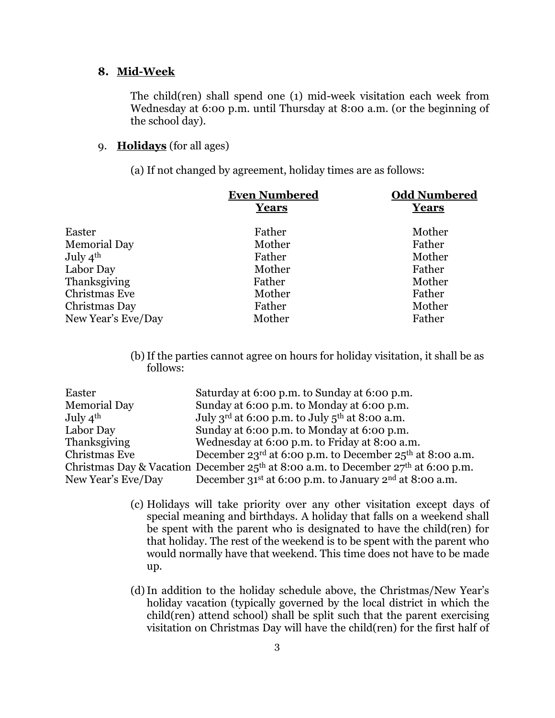### **8. Mid-Week**

The child(ren) shall spend one (1) mid-week visitation each week from Wednesday at 6:00 p.m. until Thursday at 8:00 a.m. (or the beginning of the school day).

# 9. **Holidays** (for all ages)

(a) If not changed by agreement, holiday times are as follows:

|                      | <b>Even Numbered</b><br>Years | <b>Odd Numbered</b><br><b>Years</b> |
|----------------------|-------------------------------|-------------------------------------|
|                      |                               |                                     |
| Easter               | Father                        | Mother                              |
| <b>Memorial Day</b>  | Mother                        | Father                              |
| July $4^{\text{th}}$ | Father                        | Mother                              |
| Labor Day            | Mother                        | Father                              |
| Thanksgiving         | Father                        | Mother                              |
| Christmas Eve        | Mother                        | Father                              |
| Christmas Day        | Father                        | Mother                              |
| New Year's Eve/Day   | Mother                        | Father                              |
|                      |                               |                                     |

(b)If the parties cannot agree on hours for holiday visitation, it shall be as follows:

| Easter               | Saturday at 6:00 p.m. to Sunday at 6:00 p.m.                                          |
|----------------------|---------------------------------------------------------------------------------------|
| <b>Memorial Day</b>  | Sunday at 6:00 p.m. to Monday at 6:00 p.m.                                            |
| July $4^{\text{th}}$ | July 3 <sup>rd</sup> at 6:00 p.m. to July $5th$ at 8:00 a.m.                          |
| Labor Day            | Sunday at 6:00 p.m. to Monday at 6:00 p.m.                                            |
| Thanksgiving         | Wednesday at 6:00 p.m. to Friday at 8:00 a.m.                                         |
| Christmas Eve        | December 23 <sup>rd</sup> at 6:00 p.m. to December 25 <sup>th</sup> at 8:00 a.m.      |
|                      | Christmas Day & Vacation December $25th$ at 8:00 a.m. to December $27th$ at 6:00 p.m. |
| New Year's Eve/Day   | December 31 <sup>st</sup> at 6:00 p.m. to January 2 <sup>nd</sup> at 8:00 a.m.        |

- (c) Holidays will take priority over any other visitation except days of special meaning and birthdays. A holiday that falls on a weekend shall be spent with the parent who is designated to have the child(ren) for that holiday. The rest of the weekend is to be spent with the parent who would normally have that weekend. This time does not have to be made up.
- (d)In addition to the holiday schedule above, the Christmas/New Year's holiday vacation (typically governed by the local district in which the child(ren) attend school) shall be split such that the parent exercising visitation on Christmas Day will have the child(ren) for the first half of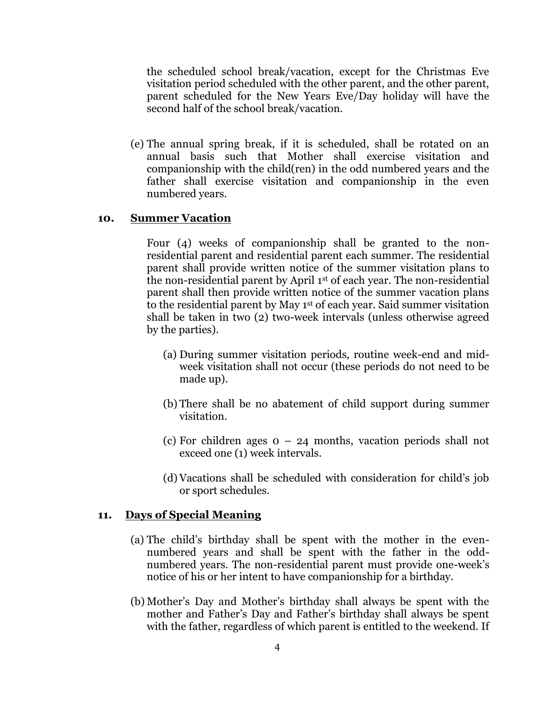the scheduled school break/vacation, except for the Christmas Eve visitation period scheduled with the other parent, and the other parent, parent scheduled for the New Years Eve/Day holiday will have the second half of the school break/vacation.

(e) The annual spring break, if it is scheduled, shall be rotated on an annual basis such that Mother shall exercise visitation and companionship with the child(ren) in the odd numbered years and the father shall exercise visitation and companionship in the even numbered years.

## **10. Summer Vacation**

Four (4) weeks of companionship shall be granted to the nonresidential parent and residential parent each summer. The residential parent shall provide written notice of the summer visitation plans to the non-residential parent by April 1st of each year. The non-residential parent shall then provide written notice of the summer vacation plans to the residential parent by May 1st of each year. Said summer visitation shall be taken in two (2) two-week intervals (unless otherwise agreed by the parties).

- (a) During summer visitation periods, routine week-end and midweek visitation shall not occur (these periods do not need to be made up).
- (b) There shall be no abatement of child support during summer visitation.
- (c) For children ages  $0 24$  months, vacation periods shall not exceed one (1) week intervals.
- (d) Vacations shall be scheduled with consideration for child's job or sport schedules.

### **11. Days of Special Meaning**

- (a) The child's birthday shall be spent with the mother in the evennumbered years and shall be spent with the father in the oddnumbered years. The non-residential parent must provide one-week's notice of his or her intent to have companionship for a birthday.
- (b) Mother's Day and Mother's birthday shall always be spent with the mother and Father's Day and Father's birthday shall always be spent with the father, regardless of which parent is entitled to the weekend. If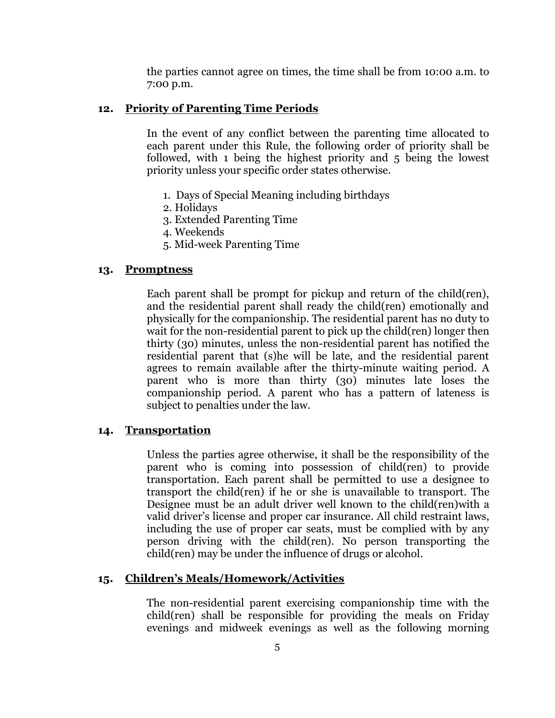the parties cannot agree on times, the time shall be from 10:00 a.m. to 7:00 p.m.

### **12. Priority of Parenting Time Periods**

In the event of any conflict between the parenting time allocated to each parent under this Rule, the following order of priority shall be followed, with 1 being the highest priority and 5 being the lowest priority unless your specific order states otherwise.

- 1. Days of Special Meaning including birthdays
- 2. Holidays
- 3. Extended Parenting Time
- 4. Weekends
- 5. Mid-week Parenting Time

### **13. Promptness**

Each parent shall be prompt for pickup and return of the child(ren), and the residential parent shall ready the child(ren) emotionally and physically for the companionship. The residential parent has no duty to wait for the non-residential parent to pick up the child(ren) longer then thirty (30) minutes, unless the non-residential parent has notified the residential parent that (s)he will be late, and the residential parent agrees to remain available after the thirty-minute waiting period. A parent who is more than thirty (30) minutes late loses the companionship period. A parent who has a pattern of lateness is subject to penalties under the law.

#### **14. Transportation**

Unless the parties agree otherwise, it shall be the responsibility of the parent who is coming into possession of child(ren) to provide transportation. Each parent shall be permitted to use a designee to transport the child(ren) if he or she is unavailable to transport. The Designee must be an adult driver well known to the child(ren)with a valid driver's license and proper car insurance. All child restraint laws, including the use of proper car seats, must be complied with by any person driving with the child(ren). No person transporting the child(ren) may be under the influence of drugs or alcohol.

### **15. Children's Meals/Homework/Activities**

The non-residential parent exercising companionship time with the child(ren) shall be responsible for providing the meals on Friday evenings and midweek evenings as well as the following morning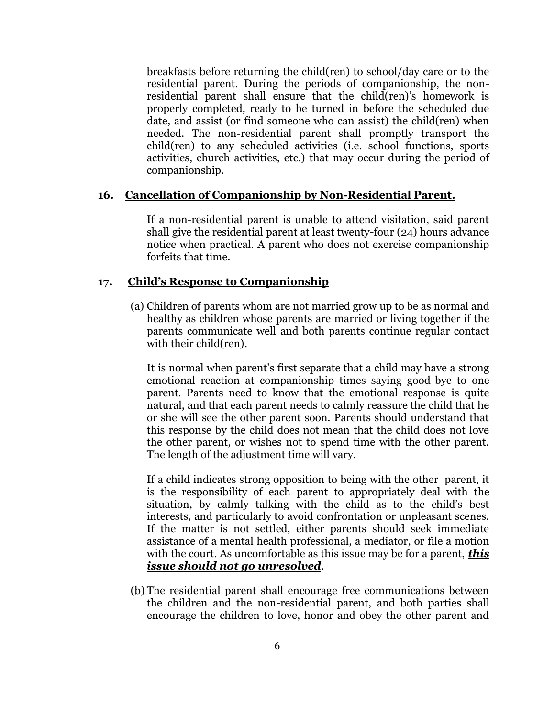breakfasts before returning the child(ren) to school/day care or to the residential parent. During the periods of companionship, the nonresidential parent shall ensure that the child(ren)'s homework is properly completed, ready to be turned in before the scheduled due date, and assist (or find someone who can assist) the child(ren) when needed. The non-residential parent shall promptly transport the child(ren) to any scheduled activities (i.e. school functions, sports activities, church activities, etc.) that may occur during the period of companionship.

## **16. Cancellation of Companionship by Non-Residential Parent.**

If a non-residential parent is unable to attend visitation, said parent shall give the residential parent at least twenty-four (24) hours advance notice when practical. A parent who does not exercise companionship forfeits that time.

## **17. Child's Response to Companionship**

(a) Children of parents whom are not married grow up to be as normal and healthy as children whose parents are married or living together if the parents communicate well and both parents continue regular contact with their child(ren).

It is normal when parent's first separate that a child may have a strong emotional reaction at companionship times saying good-bye to one parent. Parents need to know that the emotional response is quite natural, and that each parent needs to calmly reassure the child that he or she will see the other parent soon. Parents should understand that this response by the child does not mean that the child does not love the other parent, or wishes not to spend time with the other parent. The length of the adjustment time will vary.

If a child indicates strong opposition to being with the other parent, it is the responsibility of each parent to appropriately deal with the situation, by calmly talking with the child as to the child's best interests, and particularly to avoid confrontation or unpleasant scenes. If the matter is not settled, either parents should seek immediate assistance of a mental health professional, a mediator, or file a motion with the court. As uncomfortable as this issue may be for a parent, *this issue should not go unresolved*.

(b) The residential parent shall encourage free communications between the children and the non-residential parent, and both parties shall encourage the children to love, honor and obey the other parent and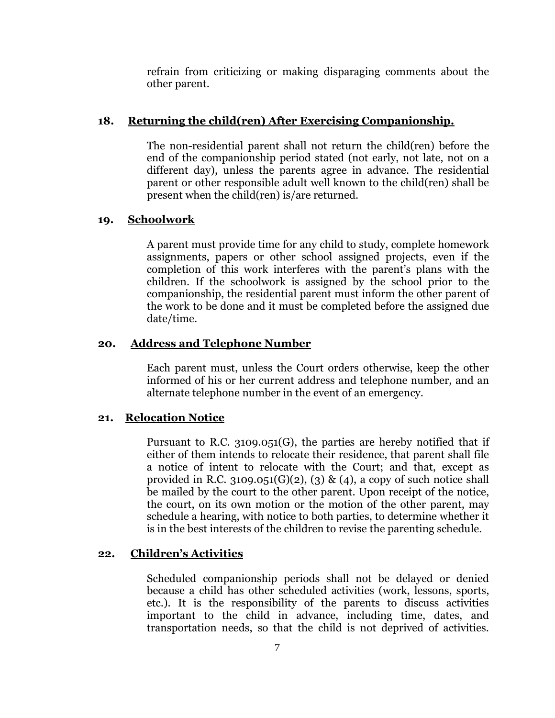refrain from criticizing or making disparaging comments about the other parent.

## **18. Returning the child(ren) After Exercising Companionship.**

The non-residential parent shall not return the child(ren) before the end of the companionship period stated (not early, not late, not on a different day), unless the parents agree in advance. The residential parent or other responsible adult well known to the child(ren) shall be present when the child(ren) is/are returned.

#### **19. Schoolwork**

A parent must provide time for any child to study, complete homework assignments, papers or other school assigned projects, even if the completion of this work interferes with the parent's plans with the children. If the schoolwork is assigned by the school prior to the companionship, the residential parent must inform the other parent of the work to be done and it must be completed before the assigned due date/time.

## **20. Address and Telephone Number**

Each parent must, unless the Court orders otherwise, keep the other informed of his or her current address and telephone number, and an alternate telephone number in the event of an emergency.

## **21. Relocation Notice**

Pursuant to R.C. 3109.051(G), the parties are hereby notified that if either of them intends to relocate their residence, that parent shall file a notice of intent to relocate with the Court; and that, except as provided in R.C. 3109.051(G)(2), (3) & (4), a copy of such notice shall be mailed by the court to the other parent. Upon receipt of the notice, the court, on its own motion or the motion of the other parent, may schedule a hearing, with notice to both parties, to determine whether it is in the best interests of the children to revise the parenting schedule.

### **22. Children's Activities**

Scheduled companionship periods shall not be delayed or denied because a child has other scheduled activities (work, lessons, sports, etc.). It is the responsibility of the parents to discuss activities important to the child in advance, including time, dates, and transportation needs, so that the child is not deprived of activities.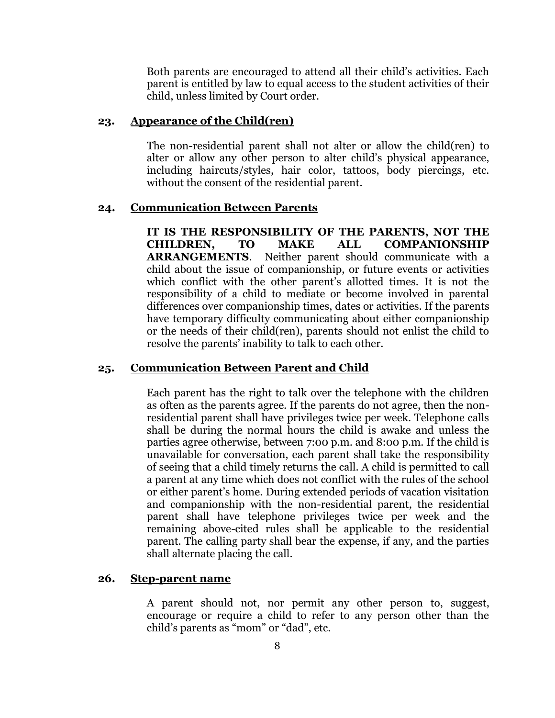Both parents are encouraged to attend all their child's activities. Each parent is entitled by law to equal access to the student activities of their child, unless limited by Court order.

### **23. Appearance of the Child(ren)**

The non-residential parent shall not alter or allow the child(ren) to alter or allow any other person to alter child's physical appearance, including haircuts/styles, hair color, tattoos, body piercings, etc. without the consent of the residential parent.

#### **24. Communication Between Parents**

**IT IS THE RESPONSIBILITY OF THE PARENTS, NOT THE CHILDREN, TO MAKE ALL COMPANIONSHIP ARRANGEMENTS**. Neither parent should communicate with a child about the issue of companionship, or future events or activities which conflict with the other parent's allotted times. It is not the responsibility of a child to mediate or become involved in parental differences over companionship times, dates or activities. If the parents have temporary difficulty communicating about either companionship or the needs of their child(ren), parents should not enlist the child to resolve the parents' inability to talk to each other.

#### **25. Communication Between Parent and Child**

Each parent has the right to talk over the telephone with the children as often as the parents agree. If the parents do not agree, then the nonresidential parent shall have privileges twice per week. Telephone calls shall be during the normal hours the child is awake and unless the parties agree otherwise, between 7:00 p.m. and 8:00 p.m. If the child is unavailable for conversation, each parent shall take the responsibility of seeing that a child timely returns the call. A child is permitted to call a parent at any time which does not conflict with the rules of the school or either parent's home. During extended periods of vacation visitation and companionship with the non-residential parent, the residential parent shall have telephone privileges twice per week and the remaining above-cited rules shall be applicable to the residential parent. The calling party shall bear the expense, if any, and the parties shall alternate placing the call.

#### **26. Step-parent name**

A parent should not, nor permit any other person to, suggest, encourage or require a child to refer to any person other than the child's parents as "mom" or "dad", etc.